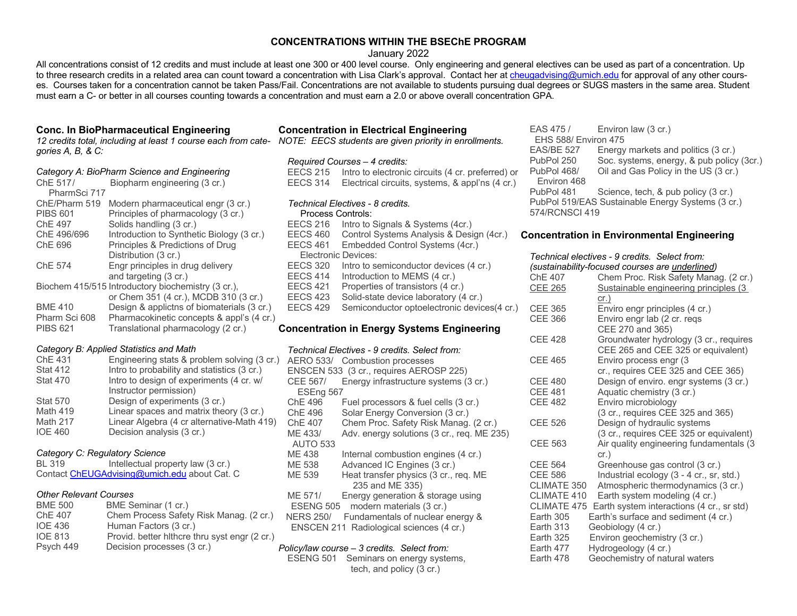# **CONCENTRATIONS WITHIN THE BSEChE PROGRAM**

January 2022

All concentrations consist of 12 credits and must include at least one 300 or 400 level course. Only engineering and general electives can be used as part of a concentration. Up to three research credits in a related area can count toward a concentration with Lisa Clark's approval. Contact her at cheugadvising@umich.edu for approval of any other courses. Courses taken for a concentration cannot be taken Pass/Fail. Concentrations are not available to students pursuing dual degrees or SUGS masters in the same area. Student must earn a C- or better in all courses counting towards a concentration and must earn a 2.0 or above overall concentration GPA.

## **Conc. In BioPharmaceutical Engineering**

*12 credits total, including at least 1 course each from cate-NOTE: EECS students are given priority in enrollments. gories A, B, & C:*

### *Category A: BioPharm Science and Engineering*

| ChE 517/        | Biopharm engineering (3 cr.)                       |
|-----------------|----------------------------------------------------|
| PharmSci 717    |                                                    |
| ChE/Pharm 519   | Modern pharmaceutical engr (3 cr.)                 |
| <b>PIBS 601</b> | Principles of pharmacology (3 cr.)                 |
| ChE 497         | Solids handling (3 cr.)                            |
| ChE 496/696     | Introduction to Synthetic Biology (3 cr.)          |
| ChE 696         | Principles & Predictions of Drug                   |
|                 | Distribution (3 cr.)                               |
| ChE 574         | Engr principles in drug delivery                   |
|                 | and targeting (3 cr.)                              |
|                 | Biochem 415/515 Introductory biochemistry (3 cr.). |
|                 | or Chem 351 (4 cr.), MCDB 310 (3 cr.)              |
| <b>BME 410</b>  | Design & applictns of biomaterials (3 cr.)         |
| Pharm Sci 608   | Pharmacokinetic concepts & appl's (4 cr.)          |
| <b>PIBS 621</b> | Translational pharmacology (2 cr.)                 |

#### *Category B: Applied Statistics and Math*

| ChE 431         | Engineering stats & problem solving (3 cr.) |
|-----------------|---------------------------------------------|
| <b>Stat 412</b> | Intro to probability and statistics (3 cr.) |
| <b>Stat 470</b> | Intro to design of experiments (4 cr. w/    |
|                 | Instructor permission)                      |
| <b>Stat 570</b> | Design of experiments (3 cr.)               |
| Math 419        | Linear spaces and matrix theory (3 cr.)     |
| <b>Math 217</b> | Linear Algebra (4 cr alternative-Math 419)  |
| <b>IOE 460</b>  | Decision analysis (3 cr.)                   |

## *Category C: Regulatory Science*

| <b>BL 319</b> | Intellectual property law (3 cr.)            |
|---------------|----------------------------------------------|
|               | Contact ChEUGAdvising@umich.edu about Cat. C |

# *Other Relevant Courses*

| <b>BME 500</b> | BME Seminar (1 cr.)                           |
|----------------|-----------------------------------------------|
| ChE 407        | Chem Process Safety Risk Manag. (2 cr.)       |
| <b>IOE 436</b> | Human Factors (3 cr.)                         |
| <b>IOE 813</b> | Provid. better hithcre thru syst engr (2 cr.) |
| Psych 449      | Decision processes (3 cr.)                    |

# **Concentration in Electrical Engineering**

#### *Required Courses – 4 credits:*

EECS 215 Intro to electronic circuits (4 cr. preferred) or EECS 314 Electrical circuits, systems, & appl'ns (4 cr.)

#### *Technical Electives - 8 credits.*

**Process Controls:** EECS 216 Intro to Signals & Systems (4cr.) EECS 460 Control Systems Analysis & Design (4cr.) EECS 461 Embedded Control Systems (4cr.) Electronic Devices: EECS 320 Intro to semiconductor devices (4 cr.) EECS 414 Introduction to MEMS (4 cr.)<br>EECS 421 Properties of transistors (4 cr.) EECS 421 Properties of transistors (4 cr.)<br>EECS 423 Solid-state device laboratory (4 Solid-state device laboratory (4 cr.) EECS 429 Semiconductor optoelectronic devices(4 cr.)

## **Concentration in Energy Systems Engineering**

### *Technical Electives - 9 credits. Select from:*

|                  | AERO 533/ Combustion processes             |
|------------------|--------------------------------------------|
|                  | ENSCEN 533 (3 cr., requires AEROSP 225)    |
| CEE 567/         | Energy infrastructure systems (3 cr.)      |
| ESEng 567        |                                            |
| ChE 496          | Fuel processors & fuel cells (3 cr.)       |
| ChE 496          | Solar Energy Conversion (3 cr.)            |
| ChE 407          | Chem Proc. Safety Risk Manag. (2 cr.)      |
| ME 433/          | Adv. energy solutions (3 cr., req. ME 235) |
| <b>AUTO 533</b>  |                                            |
| ME 438           | Internal combustion engines (4 cr.)        |
| ME 538           | Advanced IC Engines (3 cr.)                |
| ME 539           | Heat transfer physics (3 cr., reg. ME      |
|                  | 235 and ME 335)                            |
| ME 571/          | Energy generation & storage using          |
| ESENG 505        | modern materials (3 cr.)                   |
| <b>NERS 250/</b> | Fundamentals of nuclear energy &           |
|                  | ENSCEN 211 Radiological sciences (4 cr.)   |
|                  |                                            |

### *Policy/law course – 3 credits. Select from:*

| ESENG 501 | Seminars on energy systems, |
|-----------|-----------------------------|
|           | tech, and policy (3 cr.)    |

EAS 475 / Environ law (3 cr.) EHS 588/ Environ 475<br>EAS/BE 527 Energy Energy markets and politics (3 cr.) PubPol 250 Soc. systems, energy, & pub policy (3cr.) PubPol 468/ Oil and Gas Policy in the US (3 cr.) Environ 468 PubPol 481 Science, tech, & pub policy (3 cr.) PubPol 519/EAS Sustainable Energy Systems (3 cr.) 574/RCNSCI 419

## **Concentration in Environmental Engineering**

#### *Technical electives - 9 credits. Select from: (sustainability-focused courses are underlined)*

|                | (sustainability-locused courses are underlined) |
|----------------|-------------------------------------------------|
| <b>ChE 407</b> | Chem Proc. Risk Safety Manag. (2 cr.)           |
| CEE 265        | Sustainable engineering principles (3           |
|                | cr.)                                            |
| <b>CEE 365</b> | Enviro engr principles (4 cr.)                  |
| <b>CEE 366</b> | Enviro engr lab (2 cr. regs                     |
|                | CEE 270 and 365)                                |
| <b>CEE 428</b> | Groundwater hydrology (3 cr., requires          |
|                | CEE 265 and CEE 325 or equivalent)              |
| <b>CEE 465</b> | Enviro process engr (3                          |
|                | cr., requires CEE 325 and CEE 365)              |
| <b>CEE 480</b> | Design of enviro. engr systems (3 cr.)          |
| <b>CEE 481</b> | Aquatic chemistry (3 cr.)                       |
| <b>CEE 482</b> | Enviro microbiology                             |
|                | (3 cr., requires CEE 325 and 365)               |
| <b>CEE 526</b> | Design of hydraulic systems                     |
|                | (3 cr., requires CEE 325 or equivalent)         |
| <b>CEE 563</b> | Air quality engineering fundamentals (3         |
|                | cr.)                                            |
| <b>CEE 564</b> | Greenhouse gas control (3 cr.)                  |
| <b>CEE 586</b> | Industrial ecology (3 - 4 cr., sr, std.)        |
| CLIMATE 350    | Atmospheric thermodynamics (3 cr.)              |
| CLIMATE 410    | Earth system modeling (4 cr.)                   |
| CLIMATE 475    | Earth system interactions (4 cr., sr std)       |
| Earth 305      | Earth's surface and sediment (4 cr.)            |
| Earth 313      | Geobiology (4 cr.)                              |
| Earth 325      | Environ geochemistry (3 cr.)                    |
| Earth 477      | Hydrogeology (4 cr.)                            |
| Earth 478      | Geochemistry of natural waters                  |
|                |                                                 |